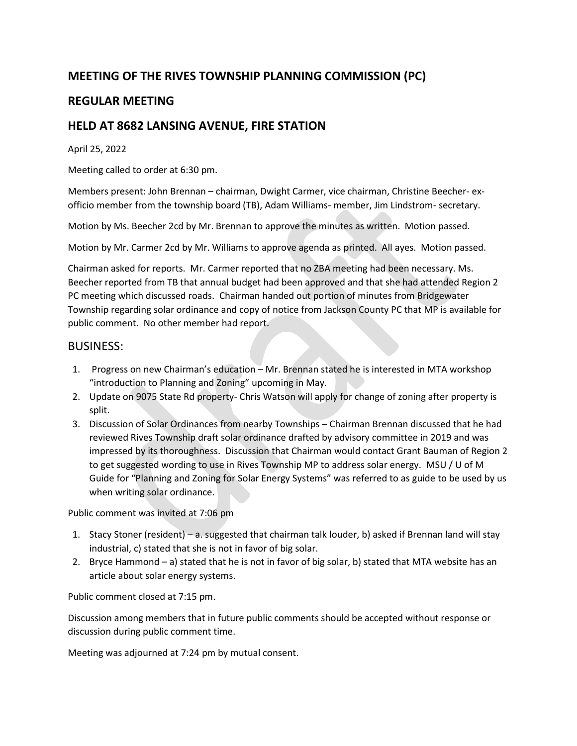# **MEETING OF THE RIVES TOWNSHIP PLANNING COMMISSION (PC)**

## **REGULAR MEETING**

### **HELD AT 8682 LANSING AVENUE, FIRE STATION**

#### April 25, 2022

Meeting called to order at 6:30 pm.

Members present: John Brennan – chairman, Dwight Carmer, vice chairman, Christine Beecher- exofficio member from the township board (TB), Adam Williams- member, Jim Lindstrom- secretary.

Motion by Ms. Beecher 2cd by Mr. Brennan to approve the minutes as written. Motion passed.

Motion by Mr. Carmer 2cd by Mr. Williams to approve agenda as printed. All ayes. Motion passed.

Chairman asked for reports. Mr. Carmer reported that no ZBA meeting had been necessary. Ms. Beecher reported from TB that annual budget had been approved and that she had attended Region 2 PC meeting which discussed roads. Chairman handed out portion of minutes from Bridgewater Township regarding solar ordinance and copy of notice from Jackson County PC that MP is available for public comment. No other member had report.

#### BUSINESS:

- 1. Progress on new Chairman's education Mr. Brennan stated he is interested in MTA workshop "introduction to Planning and Zoning" upcoming in May.
- 2. Update on 9075 State Rd property- Chris Watson will apply for change of zoning after property is split.
- 3. Discussion of Solar Ordinances from nearby Townships Chairman Brennan discussed that he had reviewed Rives Township draft solar ordinance drafted by advisory committee in 2019 and was impressed by its thoroughness. Discussion that Chairman would contact Grant Bauman of Region 2 to get suggested wording to use in Rives Township MP to address solar energy. MSU / U of M Guide for "Planning and Zoning for Solar Energy Systems" was referred to as guide to be used by us when writing solar ordinance.

Public comment was invited at 7:06 pm

- 1. Stacy Stoner (resident) a. suggested that chairman talk louder, b) asked if Brennan land will stay industrial, c) stated that she is not in favor of big solar.
- 2. Bryce Hammond a) stated that he is not in favor of big solar, b) stated that MTA website has an article about solar energy systems.

Public comment closed at 7:15 pm.

Discussion among members that in future public comments should be accepted without response or discussion during public comment time.

Meeting was adjourned at 7:24 pm by mutual consent.